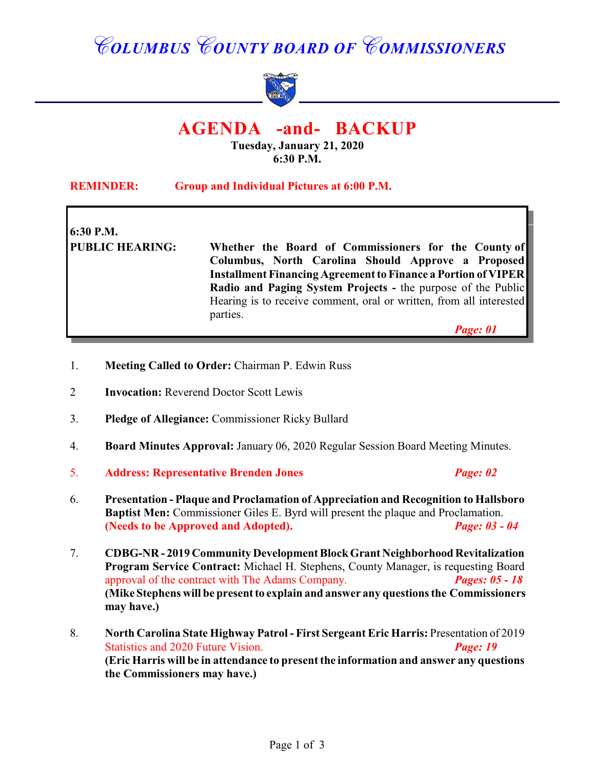# *COLUMBUS COUNTY BOARD OF COMMISSIONERS*



# **AGENDA -and- BACKUP**

**Tuesday, January 21, 2020 6:30 P.M.**

| <b>REMINDER:</b><br>Group and Individual Pictures at 6:00 P.M. |                                                                                                            |  |
|----------------------------------------------------------------|------------------------------------------------------------------------------------------------------------|--|
| 6:30 P.M.<br><b>PUBLIC HEARING:</b>                            | Whether the Board of Commissioners for the County of<br>Columbus, North Carolina Should Approve a Proposed |  |
|                                                                | <b>Installment Financing Agreement to Finance a Portion of VIPER</b>                                       |  |
|                                                                | Radio and Paging System Projects - the purpose of the Public                                               |  |
|                                                                | Hearing is to receive comment, oral or written, from all interested<br>parties.                            |  |
|                                                                | Page: 01                                                                                                   |  |
|                                                                |                                                                                                            |  |

- 1. **Meeting Called to Order:** Chairman P. Edwin Russ
- 2 **Invocation:** Reverend Doctor Scott Lewis
- 3. **Pledge of Allegiance:** Commissioner Ricky Bullard
- 4. **Board Minutes Approval:** January 06, 2020 Regular Session Board Meeting Minutes.
- 5. **Address: Representative Brenden Jones** *Page: 02*
- 6. **Presentation Plaque and Proclamation of Appreciation and Recognition to Hallsboro Baptist Men:** Commissioner Giles E. Byrd will present the plaque and Proclamation. **(Needs to be Approved and Adopted).** *Page: 03 - 04*
- 7. **CDBG-NR 2019 Community Development Block Grant Neighborhood Revitalization Program Service Contract:** Michael H. Stephens, County Manager, is requesting Board approval of the contract with The Adams Company. *Pages: 05 - 18* **(Mike Stephens will be present to explain and answer any questions the Commissioners may have.)**
- 8. **North Carolina State Highway Patrol First Sergeant Eric Harris:** Presentation of 2019 Statistics and 2020 Future Vision. **Page: 19 (Eric Harris will be in attendance to present the information and answer any questions the Commissioners may have.)**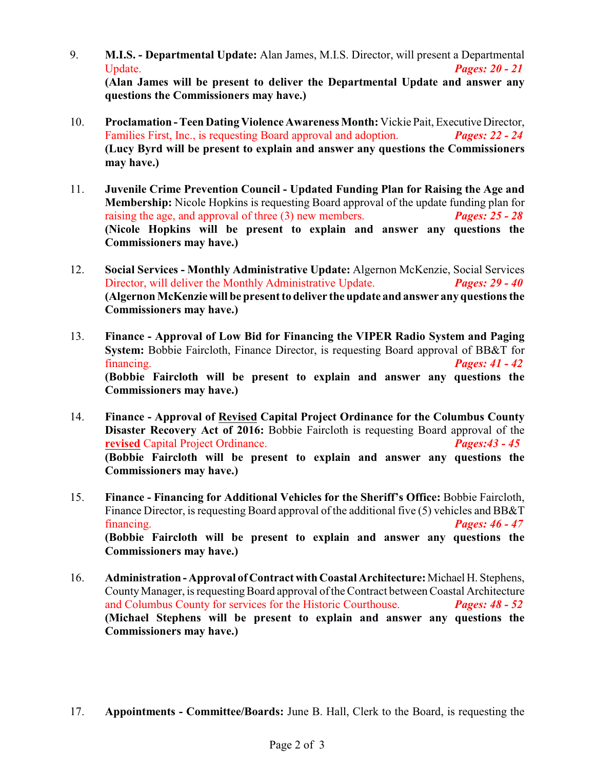- 9. **M.I.S. Departmental Update:** Alan James, M.I.S. Director, will present a Departmental Update. *Pages: 20 - 21* **(Alan James will be present to deliver the Departmental Update and answer any questions the Commissioners may have.)**
- 10. **Proclamation Teen Dating Violence Awareness Month:** Vickie Pait, Executive Director, Families First, Inc., is requesting Board approval and adoption. *Pages: 22 - 24* **(Lucy Byrd will be present to explain and answer any questions the Commissioners may have.)**
- 11. **Juvenile Crime Prevention Council Updated Funding Plan for Raising the Age and Membership:** Nicole Hopkins is requesting Board approval of the update funding plan for raising the age, and approval of three (3) new members. *Pages: 25 - 28* **(Nicole Hopkins will be present to explain and answer any questions the Commissioners may have.)**
- 12. **Social Services Monthly Administrative Update:** Algernon McKenzie, Social Services Director, will deliver the Monthly Administrative Update. *Pages: 29 - 40* **(Algernon McKenzie will be presentto deliver the update and answer any questions the Commissioners may have.)**
- 13. **Finance Approval of Low Bid for Financing the VIPER Radio System and Paging System:** Bobbie Faircloth, Finance Director, is requesting Board approval of BB&T for financing. *Pages: 41 - 42* **(Bobbie Faircloth will be present to explain and answer any questions the Commissioners may have.)**
- 14. **Finance Approval of Revised Capital Project Ordinance for the Columbus County Disaster Recovery Act of 2016:** Bobbie Faircloth is requesting Board approval of the **revised** Capital Project Ordinance. *Pages:43 - 45* **(Bobbie Faircloth will be present to explain and answer any questions the Commissioners may have.)**
- 15. **Finance Financing for Additional Vehicles for the Sheriff's Office:** Bobbie Faircloth, Finance Director, is requesting Board approval of the additional five (5) vehicles and BB&T financing. *Pages: 46 - 47* **(Bobbie Faircloth will be present to explain and answer any questions the Commissioners may have.)**
- 16. **Administration Approval of Contract with Coastal Architecture:** Michael H. Stephens, CountyManager, is requestingBoard approval ofthe Contract between Coastal Architecture and Columbus County for services for the Historic Courthouse. *Pages: 48 - 52* **(Michael Stephens will be present to explain and answer any questions the Commissioners may have.)**
- 17. **Appointments Committee/Boards:** June B. Hall, Clerk to the Board, is requesting the